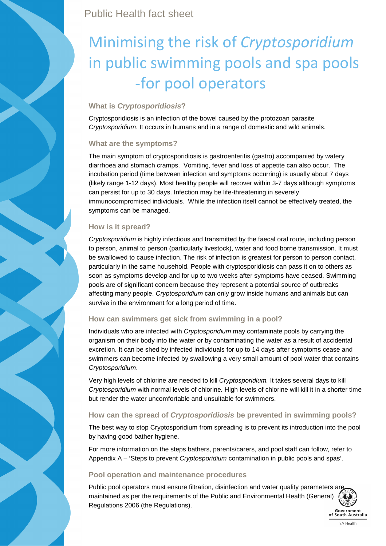Public Health fact sheet

# Minimising the risk of *Cryptosporidium* in public swimming pools and spa pools -for pool operators

## **What is Cryptosporidiosis?**

Cryptosporidiosis is an infection of the bowel caused by the protozoan parasite Cryptosporidium. It occurs in humans and in a range of domestic and wild animals.

## **What are the symptoms?**

The main symptom of cryptosporidiosis is gastroenteritis (gastro) accompanied by watery diarrhoea and stomach cramps. Vomiting, fever and loss of appetite can also occur. The incubation period (time between infection and symptoms occurring) is usually about 7 days (likely range 1-12 days). Most healthy people will recover within 3-7 days although symptoms can persist for up to 30 days. Infection may be life-threatening in severely immunocompromised individuals. While the infection itself cannot be effectively treated, the symptoms can be managed.

## **How is it spread?**

Cryptosporidium is highly infectious and transmitted by the faecal oral route, including person to person, animal to person (particularly livestock), water and food borne transmission. It must be swallowed to cause infection. The risk of infection is greatest for person to person contact, particularly in the same household. People with cryptosporidiosis can pass it on to others as soon as symptoms develop and for up to two weeks after symptoms have ceased. Swimming pools are of significant concern because they represent a potential source of outbreaks affecting many people. Cryptosporidium can only grow inside humans and animals but can survive in the environment for a long period of time.

## **How can swimmers get sick from swimming in a pool?**

Individuals who are infected with Cryptosporidium may contaminate pools by carrying the organism on their body into the water or by contaminating the water as a result of accidental excretion. It can be shed by infected individuals for up to 14 days after symptoms cease and swimmers can become infected by swallowing a very small amount of pool water that contains Cryptosporidium.

Very high levels of chlorine are needed to kill Cryptosporidium. It takes several days to kill Cryptosporidium with normal levels of chlorine. High levels of chlorine will kill it in a shorter time but render the water uncomfortable and unsuitable for swimmers.

## **How can the spread of Cryptosporidiosis be prevented in swimming pools?**

The best way to stop Cryptosporidium from spreading is to prevent its introduction into the pool by having good bather hygiene.

For more information on the steps bathers, parents/carers, and pool staff can follow, refer to Appendix A – 'Steps to prevent Cryptosporidium contamination in public pools and spas'.

## **Pool operation and maintenance procedures**

Public pool operators must ensure filtration, disinfection and water quality parameters are maintained as per the requirements of the Public and Environmental Health (General) Regulations 2006 (the Regulations).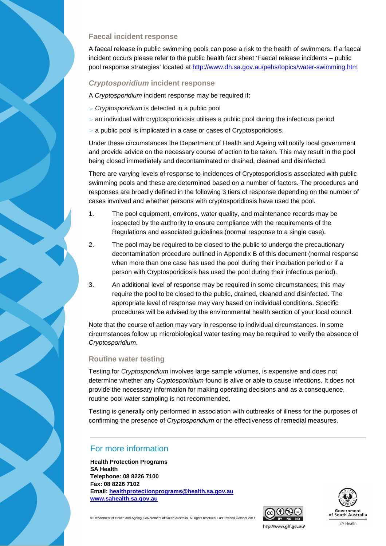#### **Faecal incident response**

A faecal release in public swimming pools can pose a risk to the health of swimmers. If a faecal incident occurs please refer to the public health fact sheet 'Faecal release incidents – public pool response strategies' located at http://www.dh.sa.gov.au/pehs/topics/water-swimming.htm

### **Cryptosporidium incident response**

A Cryptosporidium incident response may be required if:

- > Cryptosporidium is detected in a public pool
- $>$  an individual with cryptosporidiosis utilises a public pool during the infectious period
- a public pool is implicated in a case or cases of Cryptosporidiosis.

Under these circumstances the Department of Health and Ageing will notify local government and provide advice on the necessary course of action to be taken. This may result in the pool being closed immediately and decontaminated or drained, cleaned and disinfected.

There are varying levels of response to incidences of Cryptosporidiosis associated with public swimming pools and these are determined based on a number of factors. The procedures and responses are broadly defined in the following 3 tiers of response depending on the number of cases involved and whether persons with cryptosporidiosis have used the pool.

- 1. The pool equipment, environs, water quality, and maintenance records may be inspected by the authority to ensure compliance with the requirements of the Regulations and associated guidelines (normal response to a single case).
- 2. The pool may be required to be closed to the public to undergo the precautionary decontamination procedure outlined in Appendix B of this document (normal response when more than one case has used the pool during their incubation period or if a person with Cryptosporidiosis has used the pool during their infectious period).
- 3. An additional level of response may be required in some circumstances; this may require the pool to be closed to the public, drained, cleaned and disinfected. The appropriate level of response may vary based on individual conditions. Specific procedures will be advised by the environmental health section of your local council.

Note that the course of action may vary in response to individual circumstances. In some circumstances follow up microbiological water testing may be required to verify the absence of Cryptosporidium.

#### **Routine water testing**

Testing for Cryptosporidium involves large sample volumes, is expensive and does not determine whether any *Cryptosporidium* found is alive or able to cause infections. It does not provide the necessary information for making operating decisions and as a consequence, routine pool water sampling is not recommended.

Testing is generally only performed in association with outbreaks of illness for the purposes of confirming the presence of Cryptosporidium or the effectiveness of remedial measures.

# For more information

**Health Protection Programs SA Health Telephone: 08 8226 7100 Fax: 08 8226 7102 Email: healthprotectionprograms@health.sa.gov.au www.sahealth.sa.gov.au**





© Department of Health and Ageing, Government of South Australia. All rights reserved. Last revised October 2011

http://www.gilf.gov.au/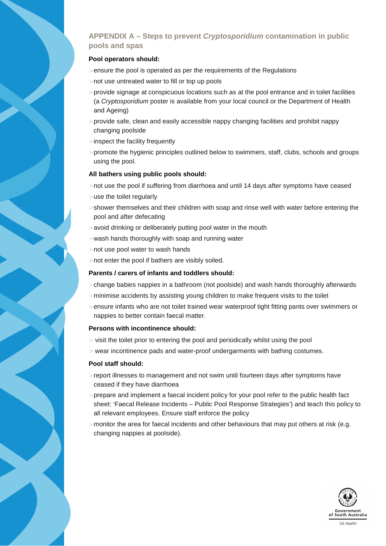## **APPENDIX A – Steps to prevent Cryptosporidium contamination in public pools and spas**

#### **Pool operators should:**

- $>$  ensure the pool is operated as per the requirements of the Regulations
- > not use untreated water to fill or top up pools
- > provide signage at conspicuous locations such as at the pool entrance and in toilet facilities (a Cryptosporidium poster is available from your local council or the Department of Health and Ageing)
- > provide safe, clean and easily accessible nappy changing facilities and prohibit nappy changing poolside
- > inspect the facility frequently
- > promote the hygienic principles outlined below to swimmers, staff, clubs, schools and groups using the pool.

#### **All bathers using public pools should:**

- > not use the pool if suffering from diarrhoea and until 14 days after symptoms have ceased
- > use the toilet regularly
- $>$  shower themselves and their children with soap and rinse well with water before entering the pool and after defecating
- > avoid drinking or deliberately putting pool water in the mouth
- $>$  wash hands thoroughly with soap and running water
- > not use pool water to wash hands
- > not enter the pool if bathers are visibly soiled.

#### **Parents / carers of infants and toddlers should:**

- > change babies nappies in a bathroom (not poolside) and wash hands thoroughly afterwards
- > minimise accidents by assisting young children to make frequent visits to the toilet
- $>$  ensure infants who are not toilet trained wear waterproof tight fitting pants over swimmers or nappies to better contain faecal matter.

#### **Persons with incontinence should:**

- > visit the toilet prior to entering the pool and periodically whilst using the pool
- > wear incontinence pads and water-proof undergarments with bathing costumes.

#### **Pool staff should:**

- > report illnesses to management and not swim until fourteen days after symptoms have ceased if they have diarrhoea
- > prepare and implement a faecal incident policy for your pool refer to the public health fact sheet: 'Faecal Release Incidents – Public Pool Response Strategies') and teach this policy to all relevant employees. Ensure staff enforce the policy
- $>$  monitor the area for faecal incidents and other behaviours that may put others at risk (e.g. changing nappies at poolside).

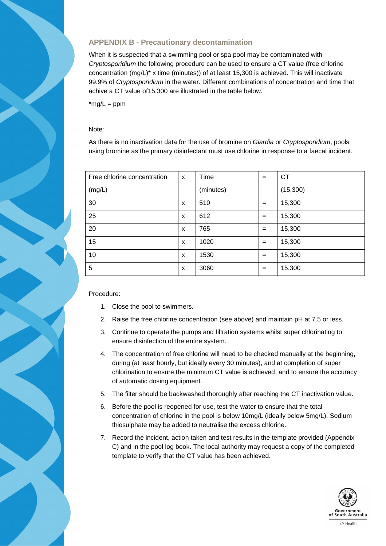## **APPENDIX B - Precautionary decontamination**

When it is suspected that a swimming pool or spa pool may be contaminated with Cryptosporidium the following procedure can be used to ensure a CT value (free chlorine concentration (mg/L)\* x time (minutes)) of at least 15,300 is achieved. This will inactivate 99.9% of Cryptosporidium in the water. Different combinations of concentration and time that achive a CT value of15,300 are illustrated in the table below.

 $*$ mg/L = ppm

#### Note:

As there is no inactivation data for the use of bromine on Giardia or Cryptosporidium, pools using bromine as the primary disinfectant must use chlorine in response to a faecal incident.

| Free chlorine concentration | $\boldsymbol{\mathsf{x}}$ | Time      | $=$ | <b>CT</b> |
|-----------------------------|---------------------------|-----------|-----|-----------|
| (mg/L)                      |                           | (minutes) |     | (15,300)  |
| 30                          | X                         | 510       | $=$ | 15,300    |
| 25                          | X                         | 612       | $=$ | 15,300    |
| 20                          | X                         | 765       | $=$ | 15,300    |
| 15                          | X                         | 1020      | $=$ | 15,300    |
| 10                          | X                         | 1530      | $=$ | 15,300    |
| 5                           | X                         | 3060      | $=$ | 15,300    |

#### Procedure:

- 1. Close the pool to swimmers.
- 2. Raise the free chlorine concentration (see above) and maintain pH at 7.5 or less.
- 3. Continue to operate the pumps and filtration systems whilst super chlorinating to ensure disinfection of the entire system.
- 4. The concentration of free chlorine will need to be checked manually at the beginning, during (at least hourly, but ideally every 30 minutes), and at completion of super chlorination to ensure the minimum CT value is achieved, and to ensure the accuracy of automatic dosing equipment.
- 5. The filter should be backwashed thoroughly after reaching the CT inactivation value.
- 6. Before the pool is reopened for use, test the water to ensure that the total concentration of chlorine in the pool is below 10mg/L (ideally below 5mg/L). Sodium thiosulphate may be added to neutralise the excess chlorine.
- 7. Record the incident, action taken and test results in the template provided (Appendix C) and in the pool log book. The local authority may request a copy of the completed template to verify that the CT value has been achieved.